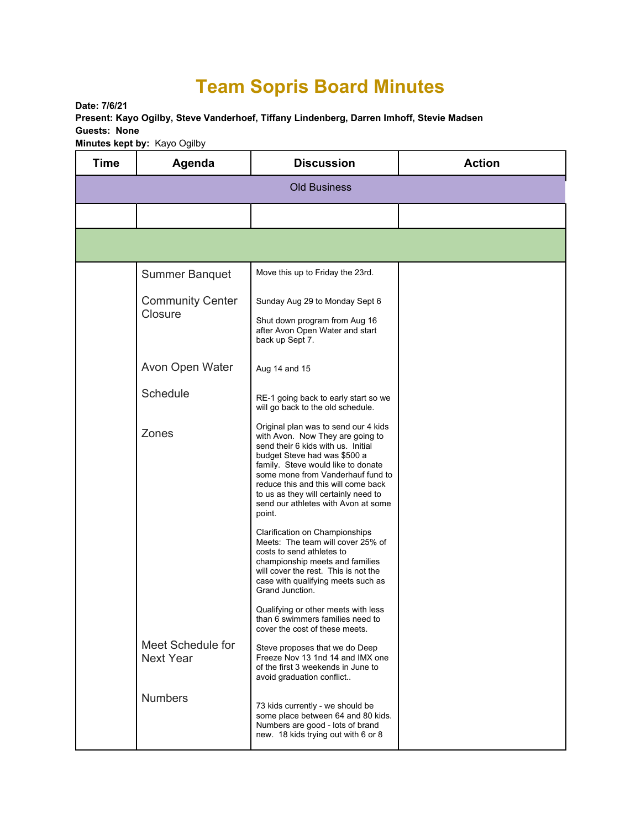## **Team Sopris Board Minutes**

**Date: 7/6/21** 

**Present: Kayo Ogilby, Steve Vanderhoef, Tiffany Lindenberg, Darren Imhoff, Stevie Madsen Guests: None** 

**Minutes kept by:** Kayo Ogilby

| <b>Time</b>         | Agenda                                | <b>Discussion</b>                                                                                                                                                                                                                                                                                                                                         | <b>Action</b> |  |  |  |
|---------------------|---------------------------------------|-----------------------------------------------------------------------------------------------------------------------------------------------------------------------------------------------------------------------------------------------------------------------------------------------------------------------------------------------------------|---------------|--|--|--|
| <b>Old Business</b> |                                       |                                                                                                                                                                                                                                                                                                                                                           |               |  |  |  |
|                     |                                       |                                                                                                                                                                                                                                                                                                                                                           |               |  |  |  |
|                     |                                       |                                                                                                                                                                                                                                                                                                                                                           |               |  |  |  |
|                     | <b>Summer Banquet</b>                 | Move this up to Friday the 23rd.                                                                                                                                                                                                                                                                                                                          |               |  |  |  |
|                     | <b>Community Center</b><br>Closure    | Sunday Aug 29 to Monday Sept 6<br>Shut down program from Aug 16<br>after Avon Open Water and start<br>back up Sept 7.                                                                                                                                                                                                                                     |               |  |  |  |
|                     | Avon Open Water                       | Aug 14 and 15                                                                                                                                                                                                                                                                                                                                             |               |  |  |  |
|                     | Schedule                              | RE-1 going back to early start so we<br>will go back to the old schedule.                                                                                                                                                                                                                                                                                 |               |  |  |  |
|                     | Zones                                 | Original plan was to send our 4 kids<br>with Avon. Now They are going to<br>send their 6 kids with us. Initial<br>budget Steve had was \$500 a<br>family. Steve would like to donate<br>some mone from Vanderhauf fund to<br>reduce this and this will come back<br>to us as they will certainly need to<br>send our athletes with Avon at some<br>point. |               |  |  |  |
|                     |                                       | Clarification on Championships<br>Meets: The team will cover 25% of<br>costs to send athletes to<br>championship meets and families<br>will cover the rest. This is not the<br>case with qualifying meets such as<br>Grand Junction.                                                                                                                      |               |  |  |  |
|                     |                                       | Qualifying or other meets with less<br>than 6 swimmers families need to<br>cover the cost of these meets.                                                                                                                                                                                                                                                 |               |  |  |  |
|                     | Meet Schedule for<br><b>Next Year</b> | Steve proposes that we do Deep<br>Freeze Nov 13 1nd 14 and IMX one<br>of the first 3 weekends in June to<br>avoid graduation conflict                                                                                                                                                                                                                     |               |  |  |  |
|                     | <b>Numbers</b>                        | 73 kids currently - we should be<br>some place between 64 and 80 kids.<br>Numbers are good - lots of brand<br>new. 18 kids trying out with 6 or 8                                                                                                                                                                                                         |               |  |  |  |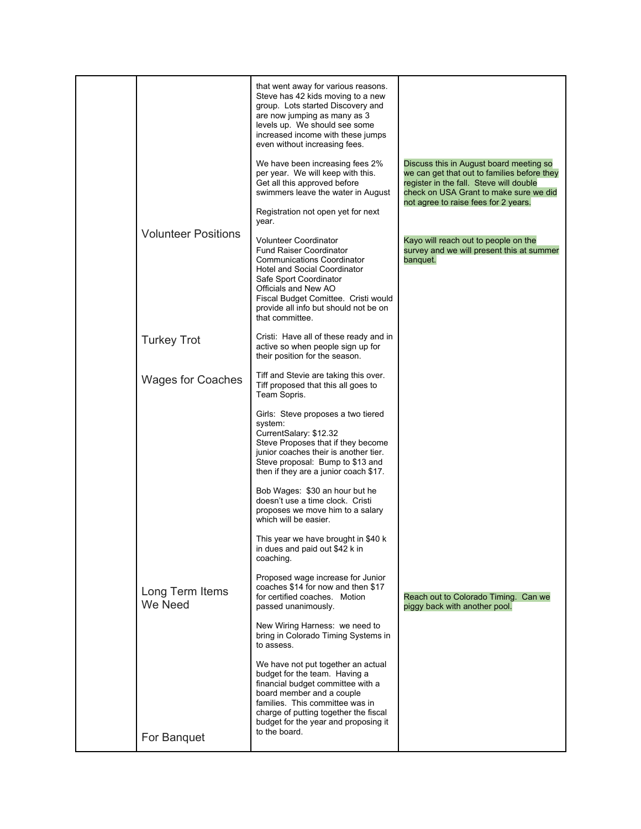|                            | that went away for various reasons.<br>Steve has 42 kids moving to a new<br>group. Lots started Discovery and<br>are now jumping as many as 3<br>levels up. We should see some<br>increased income with these jumps<br>even without increasing fees.<br>We have been increasing fees 2%<br>per year. We will keep with this.<br>Get all this approved before<br>swimmers leave the water in August<br>Registration not open yet for next<br>year. | Discuss this in August board meeting so<br>we can get that out to families before they<br>register in the fall. Steve will double<br>check on USA Grant to make sure we did<br>not agree to raise fees for 2 years. |
|----------------------------|---------------------------------------------------------------------------------------------------------------------------------------------------------------------------------------------------------------------------------------------------------------------------------------------------------------------------------------------------------------------------------------------------------------------------------------------------|---------------------------------------------------------------------------------------------------------------------------------------------------------------------------------------------------------------------|
| <b>Volunteer Positions</b> | <b>Volunteer Coordinator</b><br><b>Fund Raiser Coordinator</b><br><b>Communications Coordinator</b><br>Hotel and Social Coordinator<br>Safe Sport Coordinator<br>Officials and New AO<br>Fiscal Budget Comittee. Cristi would<br>provide all info but should not be on<br>that committee.                                                                                                                                                         | Kayo will reach out to people on the<br>survey and we will present this at summer<br>banquet.                                                                                                                       |
| <b>Turkey Trot</b>         | Cristi: Have all of these ready and in<br>active so when people sign up for<br>their position for the season.                                                                                                                                                                                                                                                                                                                                     |                                                                                                                                                                                                                     |
| <b>Wages for Coaches</b>   | Tiff and Stevie are taking this over.<br>Tiff proposed that this all goes to<br>Team Sopris.                                                                                                                                                                                                                                                                                                                                                      |                                                                                                                                                                                                                     |
|                            | Girls: Steve proposes a two tiered<br>system:<br>CurrentSalary: \$12.32<br>Steve Proposes that if they become<br>junior coaches their is another tier.<br>Steve proposal: Bump to \$13 and<br>then if they are a junior coach \$17.                                                                                                                                                                                                               |                                                                                                                                                                                                                     |
|                            | Bob Wages: \$30 an hour but he<br>doesn't use a time clock. Cristi<br>proposes we move him to a salary<br>which will be easier.                                                                                                                                                                                                                                                                                                                   |                                                                                                                                                                                                                     |
|                            | This year we have brought in \$40 k<br>in dues and paid out \$42 k in<br>coaching.                                                                                                                                                                                                                                                                                                                                                                |                                                                                                                                                                                                                     |
| Long Term Items<br>We Need | Proposed wage increase for Junior<br>coaches \$14 for now and then \$17<br>for certified coaches. Motion<br>passed unanimously.                                                                                                                                                                                                                                                                                                                   | Reach out to Colorado Timing. Can we<br>piggy back with another pool.                                                                                                                                               |
|                            | New Wiring Harness: we need to<br>bring in Colorado Timing Systems in<br>to assess.                                                                                                                                                                                                                                                                                                                                                               |                                                                                                                                                                                                                     |
|                            | We have not put together an actual<br>budget for the team. Having a<br>financial budget committee with a<br>board member and a couple<br>families. This committee was in<br>charge of putting together the fiscal<br>budget for the year and proposing it                                                                                                                                                                                         |                                                                                                                                                                                                                     |
| For Banquet                | to the board.                                                                                                                                                                                                                                                                                                                                                                                                                                     |                                                                                                                                                                                                                     |